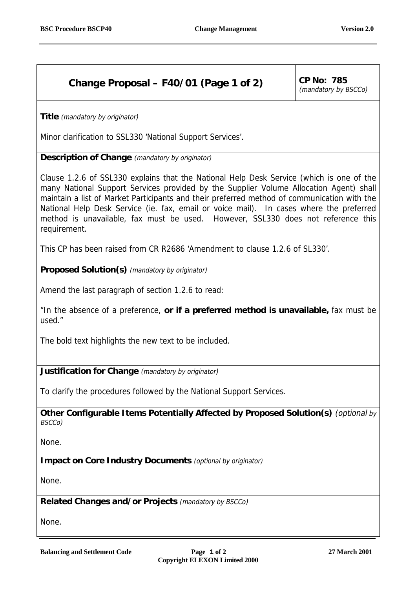## **Change Proposal – F40/01 (Page 1 of 2)**  $\vert$  CP No: 785

(mandatory by BSCCo)

**Title** (mandatory by originator)

Minor clarification to SSL330 'National Support Services'.

**Description of Change** (mandatory by originator)

Clause 1.2.6 of SSL330 explains that the National Help Desk Service (which is one of the many National Support Services provided by the Supplier Volume Allocation Agent) shall maintain a list of Market Participants and their preferred method of communication with the National Help Desk Service (ie. fax, email or voice mail). In cases where the preferred method is unavailable, fax must be used. However, SSL330 does not reference this requirement.

This CP has been raised from CR R2686 'Amendment to clause 1.2.6 of SL330'.

**Proposed Solution(s)** (mandatory by originator)

Amend the last paragraph of section 1.2.6 to read:

"In the absence of a preference, **or if a preferred method is unavailable,** fax must be used."

The bold text highlights the new text to be included.

**Justification for Change** (mandatory by originator)

To clarify the procedures followed by the National Support Services.

**Other Configurable Items Potentially Affected by Proposed Solution(s)** (optional by BSCCo)

None.

**Impact on Core Industry Documents** (optional by originator)

None.

**Related Changes and/or Projects** (mandatory by BSCCo)

None.